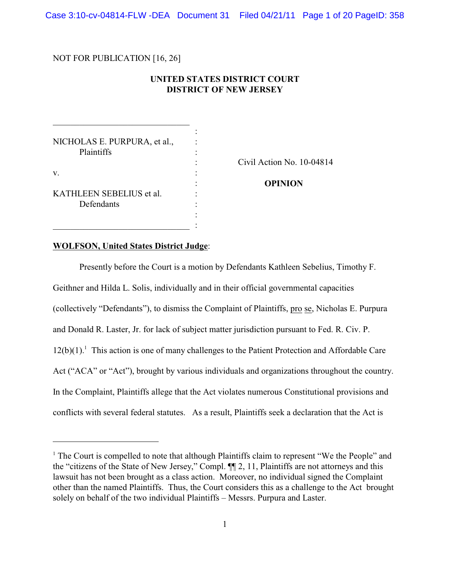Case 3:10-cv-04814-FLW -DEA Document 31 Filed 04/21/11 Page 1 of 20 PageID: 358

NOT FOR PUBLICATION [16, 26]

### **UNITED STATES DISTRICT COURT DISTRICT OF NEW JERSEY**

 $\overline{\phantom{a}}$ 

: : : : : : : : :  $\perp$  :

NICHOLAS E. PURPURA, et al., Plaintiffs

\_\_\_\_\_\_\_\_\_\_\_\_\_\_\_\_\_\_\_\_\_\_\_\_\_\_\_\_\_

v.

KATHLEEN SEBELIUS et al. Defendants

\_\_\_\_\_\_\_\_\_\_\_\_\_\_\_\_\_\_\_\_\_\_\_\_\_\_\_\_\_

Civil Action No. 10-04814

**OPINION** 

#### **WOLFSON, United States District Judge**:

Presently before the Court is a motion by Defendants Kathleen Sebelius, Timothy F. Geithner and Hilda L. Solis, individually and in their official governmental capacities (collectively "Defendants"), to dismiss the Complaint of Plaintiffs, pro se, Nicholas E. Purpura and Donald R. Laster, Jr. for lack of subject matter jurisdiction pursuant to Fed. R. Civ. P.  $12(b)(1)$ .<sup>1</sup> This action is one of many challenges to the Patient Protection and Affordable Care Act ("ACA" or "Act"), brought by various individuals and organizations throughout the country. In the Complaint, Plaintiffs allege that the Act violates numerous Constitutional provisions and conflicts with several federal statutes. As a result, Plaintiffs seek a declaration that the Act is

<sup>&</sup>lt;sup>1</sup> The Court is compelled to note that although Plaintiffs claim to represent "We the People" and the "citizens of the State of New Jersey," Compl. ¶¶ 2, 11, Plaintiffs are not attorneys and this lawsuit has not been brought as a class action. Moreover, no individual signed the Complaint other than the named Plaintiffs. Thus, the Court considers this as a challenge to the Act brought solely on behalf of the two individual Plaintiffs – Messrs. Purpura and Laster.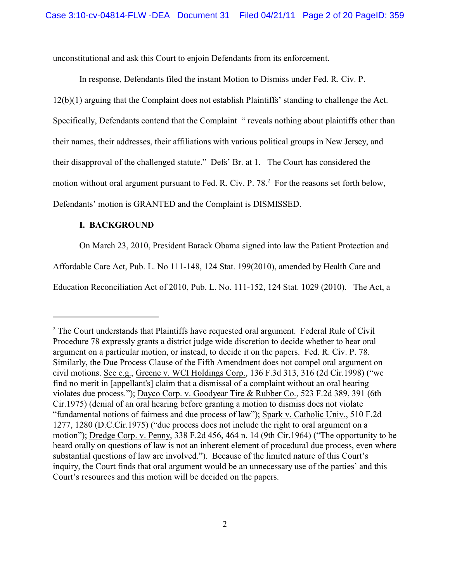unconstitutional and ask this Court to enjoin Defendants from its enforcement.

In response, Defendants filed the instant Motion to Dismiss under Fed. R. Civ. P. 12(b)(1) arguing that the Complaint does not establish Plaintiffs' standing to challenge the Act. Specifically, Defendants contend that the Complaint " reveals nothing about plaintiffs other than their names, their addresses, their affiliations with various political groups in New Jersey, and their disapproval of the challenged statute." Defs' Br. at 1. The Court has considered the motion without oral argument pursuant to Fed. R. Civ. P. 78.<sup>2</sup> For the reasons set forth below, Defendants' motion is GRANTED and the Complaint is DISMISSED.

# **I. BACKGROUND**

On March 23, 2010, President Barack Obama signed into law the Patient Protection and

Affordable Care Act, Pub. L. No 111-148, 124 Stat. 199(2010), amended by Health Care and

Education Reconciliation Act of 2010, Pub. L. No. 111-152, 124 Stat. 1029 (2010). The Act, a

<sup>&</sup>lt;sup>2</sup> The Court understands that Plaintiffs have requested oral argument. Federal Rule of Civil Procedure 78 expressly grants a district judge wide discretion to decide whether to hear oral argument on a particular motion, or instead, to decide it on the papers. Fed. R. Civ. P. 78. Similarly, the Due Process Clause of the Fifth Amendment does not compel oral argument on civil motions. See e.g., Greene v. WCI Holdings Corp., 136 F.3d 313, 316 (2d Cir.1998) ("we find no merit in [appellant's] claim that a dismissal of a complaint without an oral hearing violates due process."); Dayco Corp. v. Goodyear Tire & Rubber Co., 523 F.2d 389, 391 (6th Cir.1975) (denial of an oral hearing before granting a motion to dismiss does not violate "fundamental notions of fairness and due process of law"); Spark v. Catholic Univ., 510 F.2d 1277, 1280 (D.C.Cir.1975) ("due process does not include the right to oral argument on a motion"); Dredge Corp. v. Penny, 338 F.2d 456, 464 n. 14 (9th Cir.1964) ("The opportunity to be heard orally on questions of law is not an inherent element of procedural due process, even where substantial questions of law are involved."). Because of the limited nature of this Court's inquiry, the Court finds that oral argument would be an unnecessary use of the parties' and this Court's resources and this motion will be decided on the papers.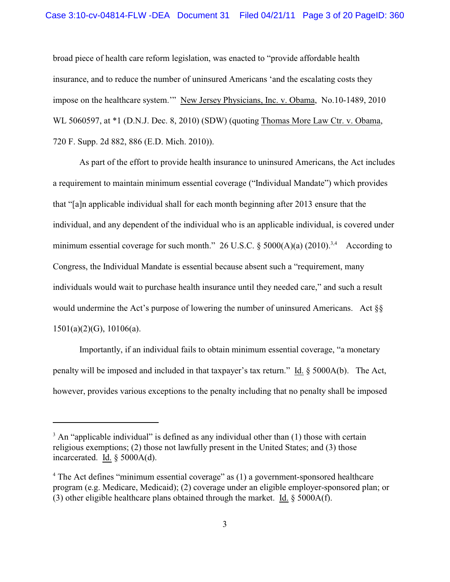broad piece of health care reform legislation, was enacted to "provide affordable health insurance, and to reduce the number of uninsured Americans 'and the escalating costs they impose on the healthcare system.'" New Jersey Physicians, Inc. v. Obama, No.10-1489, 2010 WL 5060597, at  $*1$  (D.N.J. Dec. 8, 2010) (SDW) (quoting Thomas More Law Ctr. v. Obama, 720 F. Supp. 2d 882, 886 (E.D. Mich. 2010)).

As part of the effort to provide health insurance to uninsured Americans, the Act includes a requirement to maintain minimum essential coverage ("Individual Mandate") which provides that "[a]n applicable individual shall for each month beginning after 2013 ensure that the individual, and any dependent of the individual who is an applicable individual, is covered under minimum essential coverage for such month." 26 U.S.C.  $\S$  5000(A)(a) (2010).<sup>3,4</sup> According to Congress, the Individual Mandate is essential because absent such a "requirement, many individuals would wait to purchase health insurance until they needed care," and such a result would undermine the Act's purpose of lowering the number of uninsured Americans. Act  $\S$ 1501(a)(2)(G), 10106(a).

Importantly, if an individual fails to obtain minimum essential coverage, "a monetary penalty will be imposed and included in that taxpayer's tax return." Id. § 5000A(b). The Act, however, provides various exceptions to the penalty including that no penalty shall be imposed

 $3$  An "applicable individual" is defined as any individual other than (1) those with certain religious exemptions; (2) those not lawfully present in the United States; and (3) those incarcerated. Id. § 5000A(d).

<sup>&</sup>lt;sup>4</sup> The Act defines "minimum essential coverage" as (1) a government-sponsored healthcare program (e.g. Medicare, Medicaid); (2) coverage under an eligible employer-sponsored plan; or (3) other eligible healthcare plans obtained through the market. Id. § 5000A(f).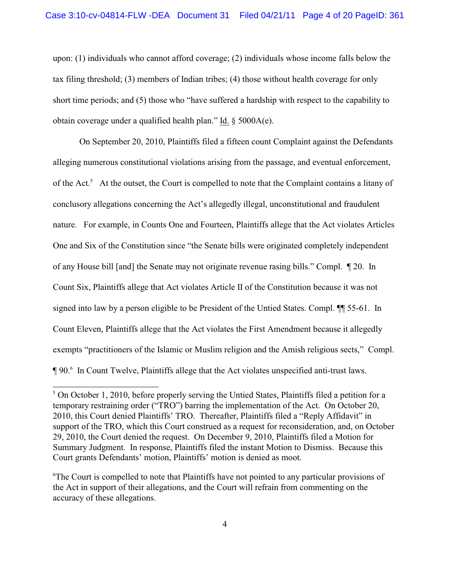upon: (1) individuals who cannot afford coverage; (2) individuals whose income falls below the tax filing threshold; (3) members of Indian tribes; (4) those without health coverage for only short time periods; and (5) those who "have suffered a hardship with respect to the capability to obtain coverage under a qualified health plan." Id. § 5000A(e).

On September 20, 2010, Plaintiffs filed a fifteen count Complaint against the Defendants alleging numerous constitutional violations arising from the passage, and eventual enforcement, of the Act.<sup>5</sup> At the outset, the Court is compelled to note that the Complaint contains a litany of conclusory allegations concerning the Act's allegedly illegal, unconstitutional and fraudulent nature. For example, in Counts One and Fourteen, Plaintiffs allege that the Act violates Articles One and Six of the Constitution since "the Senate bills were originated completely independent of any House bill [and] the Senate may not originate revenue rasing bills." Compl. ¶ 20. In Count Six, Plaintiffs allege that Act violates Article II of the Constitution because it was not signed into law by a person eligible to be President of the Untied States. Compl. ¶¶ 55-61. In Count Eleven, Plaintiffs allege that the Act violates the First Amendment because it allegedly exempts "practitioners of the Islamic or Muslim religion and the Amish religious sects," Compl. ¶ 90.6 In Count Twelve, Plaintiffs allege that the Act violates unspecified anti-trust laws.

<sup>&</sup>lt;sup>5</sup> On October 1, 2010, before properly serving the Untied States, Plaintiffs filed a petition for a temporary restraining order ("TRO") barring the implementation of the Act. On October 20, 2010, this Court denied Plaintiffs' TRO. Thereafter, Plaintiffs filed a "Reply Affidavit" in support of the TRO, which this Court construed as a request for reconsideration, and, on October 29, 2010, the Court denied the request. On December 9, 2010, Plaintiffs filed a Motion for Summary Judgment. In response, Plaintiffs filed the instant Motion to Dismiss. Because this Court grants Defendants' motion, Plaintiffs' motion is denied as moot.

<sup>&</sup>lt;sup>6</sup>The Court is compelled to note that Plaintiffs have not pointed to any particular provisions of the Act in support of their allegations, and the Court will refrain from commenting on the accuracy of these allegations.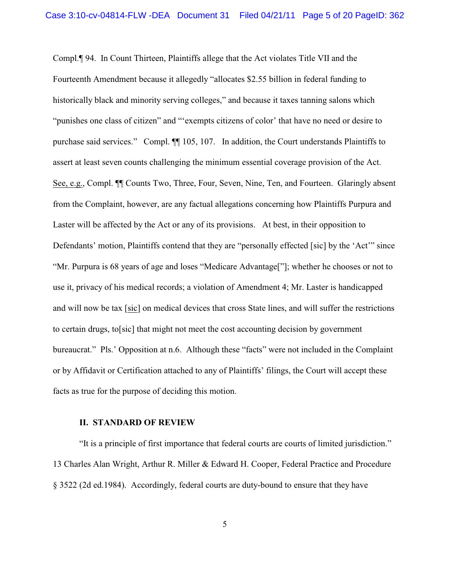Compl.¶ 94. In Count Thirteen, Plaintiffs allege that the Act violates Title VII and the Fourteenth Amendment because it allegedly "allocates \$2.55 billion in federal funding to historically black and minority serving colleges," and because it taxes tanning salons which "punishes one class of citizen" and "'exempts citizens of color' that have no need or desire to purchase said services." Compl. ¶¶ 105, 107. In addition, the Court understands Plaintiffs to assert at least seven counts challenging the minimum essential coverage provision of the Act. See, e.g., Compl. ¶¶ Counts Two, Three, Four, Seven, Nine, Ten, and Fourteen. Glaringly absent from the Complaint, however, are any factual allegations concerning how Plaintiffs Purpura and Laster will be affected by the Act or any of its provisions. At best, in their opposition to Defendants' motion, Plaintiffs contend that they are "personally effected [sic] by the 'Act'" since "Mr. Purpura is 68 years of age and loses "Medicare Advantage["]; whether he chooses or not to use it, privacy of his medical records; a violation of Amendment 4; Mr. Laster is handicapped and will now be tax [sic] on medical devices that cross State lines, and will suffer the restrictions to certain drugs, to[sic] that might not meet the cost accounting decision by government bureaucrat." Pls.' Opposition at n.6. Although these "facts" were not included in the Complaint or by Affidavit or Certification attached to any of Plaintiffs' filings, the Court will accept these facts as true for the purpose of deciding this motion.

#### **II. STANDARD OF REVIEW**

"It is a principle of first importance that federal courts are courts of limited jurisdiction." 13 Charles Alan Wright, Arthur R. Miller & Edward H. Cooper, Federal Practice and Procedure § 3522 (2d ed.1984). Accordingly, federal courts are duty-bound to ensure that they have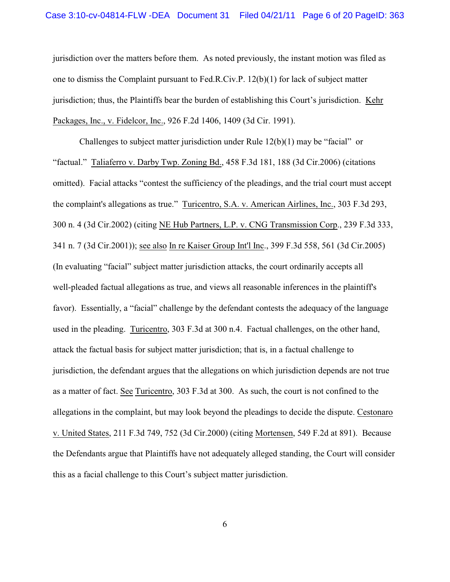jurisdiction over the matters before them. As noted previously, the instant motion was filed as one to dismiss the Complaint pursuant to Fed.R.Civ.P. 12(b)(1) for lack of subject matter jurisdiction; thus, the Plaintiffs bear the burden of establishing this Court's jurisdiction. Kehr Packages, Inc., v. Fidelcor, Inc., 926 F.2d 1406, 1409 (3d Cir. 1991).

Challenges to subject matter jurisdiction under Rule  $12(b)(1)$  may be "facial" or "factual." Taliaferro v. Darby Twp. Zoning Bd., 458 F.3d 181, 188 (3d Cir.2006) (citations omitted). Facial attacks "contest the sufficiency of the pleadings, and the trial court must accept the complaint's allegations as true." Turicentro, S.A. v. American Airlines, Inc., 303 F.3d 293, 300 n. 4 (3d Cir.2002) (citing NE Hub Partners, L.P. v. CNG Transmission Corp., 239 F.3d 333, 341 n. 7 (3d Cir.2001)); see also In re Kaiser Group Int'l Inc., 399 F.3d 558, 561 (3d Cir.2005) (In evaluating "facial" subject matter jurisdiction attacks, the court ordinarily accepts all well-pleaded factual allegations as true, and views all reasonable inferences in the plaintiff's favor). Essentially, a "facial" challenge by the defendant contests the adequacy of the language used in the pleading. Turicentro, 303 F.3d at 300 n.4. Factual challenges, on the other hand, attack the factual basis for subject matter jurisdiction; that is, in a factual challenge to jurisdiction, the defendant argues that the allegations on which jurisdiction depends are not true as a matter of fact. See Turicentro, 303 F.3d at 300. As such, the court is not confined to the allegations in the complaint, but may look beyond the pleadings to decide the dispute. Cestonaro v. United States, 211 F.3d 749, 752 (3d Cir.2000) (citing Mortensen, 549 F.2d at 891). Because the Defendants argue that Plaintiffs have not adequately alleged standing, the Court will consider this as a facial challenge to this Court's subject matter jurisdiction.

6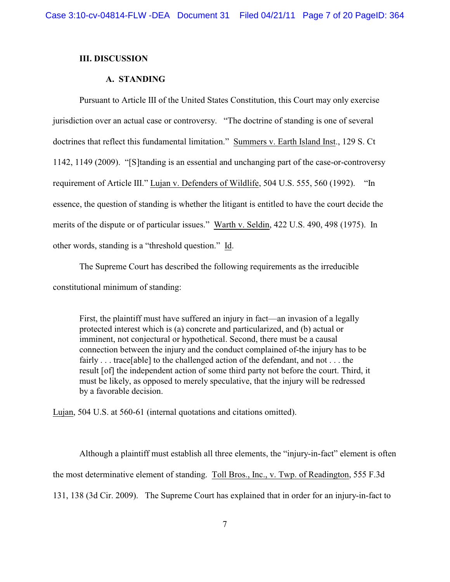#### **III. DISCUSSION**

### **A. STANDING**

requirement of Article III." Lujan v. Defenders of Wildlife, 504 U.S. 555, 560 (1992). "In Pursuant to Article III of the United States Constitution, this Court may only exercise jurisdiction over an actual case or controversy. "The doctrine of standing is one of several doctrines that reflect this fundamental limitation." Summers v. Earth Island Inst., 129 S. Ct 1142, 1149 (2009). "[S]tanding is an essential and unchanging part of the case-or-controversy essence, the question of standing is whether the litigant is entitled to have the court decide the merits of the dispute or of particular issues." Warth v. Seldin, 422 U.S. 490, 498 (1975). In other words, standing is a "threshold question." Id.

The Supreme Court has described the following requirements as the irreducible constitutional minimum of standing:

First, the plaintiff must have suffered an injury in fact—an invasion of a legally protected interest which is (a) concrete and particularized, and (b) actual or imminent, not conjectural or hypothetical. Second, there must be a causal connection between the injury and the conduct complained of-the injury has to be fairly . . . trace[able] to the challenged action of the defendant, and not . . . the result [of] the independent action of some third party not before the court. Third, it must be likely, as opposed to merely speculative, that the injury will be redressed by a favorable decision.

Lujan, 504 U.S. at 560-61 (internal quotations and citations omitted).

 131, 138 (3d Cir. 2009). The Supreme Court has explained that in order for an injury-in-fact to Although a plaintiff must establish all three elements, the "injury-in-fact" element is often the most determinative element of standing. Toll Bros., Inc., v. Twp. of Readington, 555 F.3d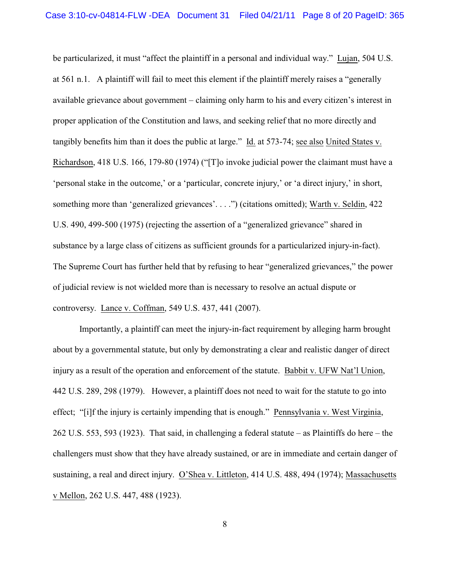be particularized, it must "affect the plaintiff in a personal and individual way." Lujan, 504 U.S. at 561 n.1. A plaintiff will fail to meet this element if the plaintiff merely raises a "generally available grievance about government – claiming only harm to his and every citizen's interest in proper application of the Constitution and laws, and seeking relief that no more directly and tangibly benefits him than it does the public at large." Id. at 573-74; see also United States v. Richardson, 418 U.S. 166, 179-80 (1974) ("[T]o invoke judicial power the claimant must have a 'personal stake in the outcome,' or a 'particular, concrete injury,' or 'a direct injury,' in short, something more than 'generalized grievances'. . . .") (citations omitted); Warth v. Seldin, 422 U.S. 490, 499-500 (1975) (rejecting the assertion of a "generalized grievance" shared in substance by a large class of citizens as sufficient grounds for a particularized injury-in-fact). The Supreme Court has further held that by refusing to hear "generalized grievances," the power of judicial review is not wielded more than is necessary to resolve an actual dispute or controversy. Lance v. Coffman, 549 U.S. 437, 441 (2007).

Importantly, a plaintiff can meet the injury-in-fact requirement by alleging harm brought about by a governmental statute, but only by demonstrating a clear and realistic danger of direct injury as a result of the operation and enforcement of the statute. Babbit v. UFW Nat'l Union, 442 U.S. 289, 298 (1979). However, a plaintiff does not need to wait for the statute to go into effect; "[i]f the injury is certainly impending that is enough." Pennsylvania v. West Virginia, 262 U.S. 553, 593 (1923). That said, in challenging a federal statute – as Plaintiffs do here – the challengers must show that they have already sustained, or are in immediate and certain danger of sustaining, a real and direct injury. O'Shea v. Littleton, 414 U.S. 488, 494 (1974); Massachusetts v Mellon, 262 U.S. 447, 488 (1923).

8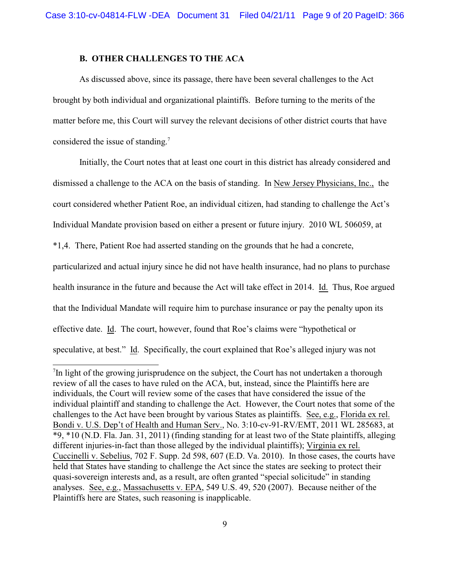### **B. OTHER CHALLENGES TO THE ACA**

considered the issue of standing.<sup>7</sup> As discussed above, since its passage, there have been several challenges to the Act brought by both individual and organizational plaintiffs. Before turning to the merits of the matter before me, this Court will survey the relevant decisions of other district courts that have

Initially, the Court notes that at least one court in this district has already considered and dismissed a challenge to the ACA on the basis of standing. In New Jersey Physicians, Inc., the court considered whether Patient Roe, an individual citizen, had standing to challenge the Act's Individual Mandate provision based on either a present or future injury. 2010 WL 506059, at

\*1,4. There, Patient Roe had asserted standing on the grounds that he had a concrete,

particularized and actual injury since he did not have health insurance, had no plans to purchase health insurance in the future and because the Act will take effect in 2014. Id. Thus, Roe argued that the Individual Mandate will require him to purchase insurance or pay the penalty upon its effective date. Id. The court, however, found that Roe's claims were "hypothetical or speculative, at best." Id. Specifically, the court explained that Roe's alleged injury was not

 $7$ In light of the growing jurisprudence on the subject, the Court has not undertaken a thorough review of all the cases to have ruled on the ACA, but, instead, since the Plaintiffs here are individuals, the Court will review some of the cases that have considered the issue of the individual plaintiff and standing to challenge the Act. However, the Court notes that some of the challenges to the Act have been brought by various States as plaintiffs. See, e.g., Florida ex rel. Bondi v. U.S. Dep't of Health and Human Serv., No. 3:10-cv-91-RV/EMT, 2011 WL 285683, at \*9, \*10 (N.D. Fla. Jan. 31, 2011) (finding standing for at least two of the State plaintiffs, alleging different injuries-in-fact than those alleged by the individual plaintiffs); Virginia ex rel. Cuccinelli v. Sebelius, 702 F. Supp. 2d 598, 607 (E.D. Va. 2010). In those cases, the courts have held that States have standing to challenge the Act since the states are seeking to protect their quasi-sovereign interests and, as a result, are often granted "special solicitude" in standing analyses. See, e.g., Massachusetts v. EPA, 549 U.S. 49, 520 (2007). Because neither of the Plaintiffs here are States, such reasoning is inapplicable.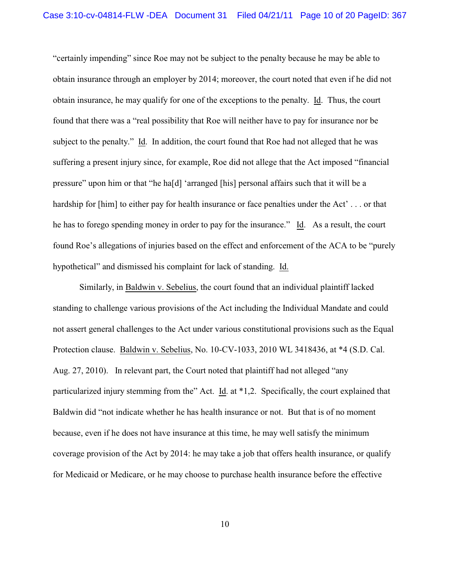"certainly impending" since Roe may not be subject to the penalty because he may be able to obtain insurance through an employer by 2014; moreover, the court noted that even if he did not obtain insurance, he may qualify for one of the exceptions to the penalty. Id. Thus, the court found that there was a "real possibility that Roe will neither have to pay for insurance nor be subject to the penalty." Id. In addition, the court found that Roe had not alleged that he was suffering a present injury since, for example, Roe did not allege that the Act imposed "financial pressure" upon him or that "he ha[d] 'arranged [his] personal affairs such that it will be a hardship for [him] to either pay for health insurance or face penalties under the Act'... or that he has to forego spending money in order to pay for the insurance." Id. As a result, the court found Roe's allegations of injuries based on the effect and enforcement of the ACA to be "purely hypothetical" and dismissed his complaint for lack of standing. Id.

Similarly, in Baldwin v. Sebelius, the court found that an individual plaintiff lacked standing to challenge various provisions of the Act including the Individual Mandate and could not assert general challenges to the Act under various constitutional provisions such as the Equal Protection clause. Baldwin v. Sebelius, No. 10-CV-1033, 2010 WL 3418436, at \*4 (S.D. Cal. Aug. 27, 2010). In relevant part, the Court noted that plaintiff had not alleged "any particularized injury stemming from the" Act. Id. at \*1,2. Specifically, the court explained that Baldwin did "not indicate whether he has health insurance or not. But that is of no moment because, even if he does not have insurance at this time, he may well satisfy the minimum coverage provision of the Act by 2014: he may take a job that offers health insurance, or qualify for Medicaid or Medicare, or he may choose to purchase health insurance before the effective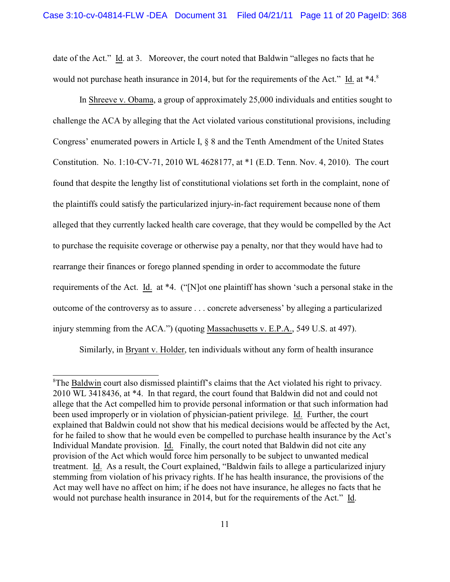date of the Act." Id. at 3. Moreover, the court noted that Baldwin "alleges no facts that he would not purchase heath insurance in 2014, but for the requirements of the Act." Id. at \*4.<sup>8</sup>

In Shreeve v. Obama, a group of approximately 25,000 individuals and entities sought to challenge the ACA by alleging that the Act violated various constitutional provisions, including Congress' enumerated powers in Article I, § 8 and the Tenth Amendment of the United States Constitution. No. 1:10-CV-71, 2010 WL 4628177, at \*1 (E.D. Tenn. Nov. 4, 2010). The court found that despite the lengthy list of constitutional violations set forth in the complaint, none of the plaintiffs could satisfy the particularized injury-in-fact requirement because none of them alleged that they currently lacked health care coverage, that they would be compelled by the Act to purchase the requisite coverage or otherwise pay a penalty, nor that they would have had to rearrange their finances or forego planned spending in order to accommodate the future requirements of the Act. Id. at \*4. ("[N]ot one plaintiff has shown 'such a personal stake in the outcome of the controversy as to assure . . . concrete adverseness' by alleging a particularized injury stemming from the ACA.") (quoting Massachusetts v. E.P.A., 549 U.S. at 497).

Similarly, in Bryant v. Holder, ten individuals without any form of health insurance

<sup>&</sup>lt;sup>8</sup>The **Baldwin** court also dismissed plaintiff's claims that the Act violated his right to privacy. 2010 WL 3418436, at \*4. In that regard, the court found that Baldwin did not and could not allege that the Act compelled him to provide personal information or that such information had been used improperly or in violation of physician-patient privilege. Id. Further, the court explained that Baldwin could not show that his medical decisions would be affected by the Act, for he failed to show that he would even be compelled to purchase health insurance by the Act's Individual Mandate provision. Id. Finally, the court noted that Baldwin did not cite any provision of the Act which would force him personally to be subject to unwanted medical treatment. Id. As a result, the Court explained, "Baldwin fails to allege a particularized injury stemming from violation of his privacy rights. If he has health insurance, the provisions of the Act may well have no affect on him; if he does not have insurance, he alleges no facts that he would not purchase health insurance in 2014, but for the requirements of the Act." Id.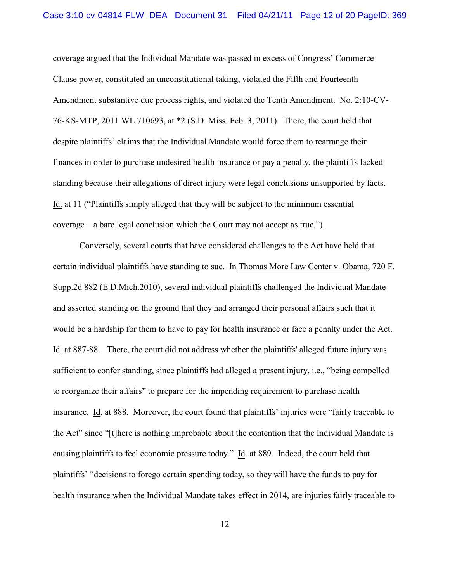coverage argued that the Individual Mandate was passed in excess of Congress' Commerce Clause power, constituted an unconstitutional taking, violated the Fifth and Fourteenth Amendment substantive due process rights, and violated the Tenth Amendment. No. 2:10-CV-76-KS-MTP, 2011 WL 710693, at \*2 (S.D. Miss. Feb. 3, 2011). There, the court held that despite plaintiffs' claims that the Individual Mandate would force them to rearrange their finances in order to purchase undesired health insurance or pay a penalty, the plaintiffs lacked standing because their allegations of direct injury were legal conclusions unsupported by facts. Id. at 11 ("Plaintiffs simply alleged that they will be subject to the minimum essential coverage—a bare legal conclusion which the Court may not accept as true.").

Conversely, several courts that have considered challenges to the Act have held that certain individual plaintiffs have standing to sue. In Thomas More Law Center v. Obama, 720 F. Supp.2d 882 (E.D.Mich.2010), several individual plaintiffs challenged the Individual Mandate and asserted standing on the ground that they had arranged their personal affairs such that it would be a hardship for them to have to pay for health insurance or face a penalty under the Act. Id. at 887-88. There, the court did not address whether the plaintiffs' alleged future injury was sufficient to confer standing, since plaintiffs had alleged a present injury, i.e., "being compelled to reorganize their affairs" to prepare for the impending requirement to purchase health insurance. Id. at 888. Moreover, the court found that plaintiffs' injuries were "fairly traceable to the Act" since "[t]here is nothing improbable about the contention that the Individual Mandate is causing plaintiffs to feel economic pressure today." Id. at 889. Indeed, the court held that plaintiffs' "decisions to forego certain spending today, so they will have the funds to pay for health insurance when the Individual Mandate takes effect in 2014, are injuries fairly traceable to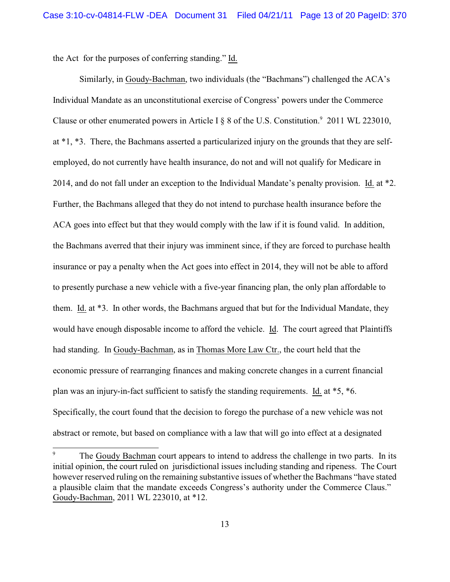the Act for the purposes of conferring standing." Id.

Similarly, in Goudy-Bachman, two individuals (the "Bachmans") challenged the ACA's Individual Mandate as an unconstitutional exercise of Congress' powers under the Commerce Clause or other enumerated powers in Article I  $\S$  8 of the U.S. Constitution.<sup>9</sup> 2011 WL 223010, at \*1, \*3. There, the Bachmans asserted a particularized injury on the grounds that they are selfemployed, do not currently have health insurance, do not and will not qualify for Medicare in 2014, and do not fall under an exception to the Individual Mandate's penalty provision. Id. at \*2. Further, the Bachmans alleged that they do not intend to purchase health insurance before the ACA goes into effect but that they would comply with the law if it is found valid. In addition, the Bachmans averred that their injury was imminent since, if they are forced to purchase health insurance or pay a penalty when the Act goes into effect in 2014, they will not be able to afford to presently purchase a new vehicle with a five-year financing plan, the only plan affordable to them. Id. at \*3. In other words, the Bachmans argued that but for the Individual Mandate, they would have enough disposable income to afford the vehicle. Id. The court agreed that Plaintiffs had standing. In Goudy-Bachman, as in Thomas More Law Ctr., the court held that the economic pressure of rearranging finances and making concrete changes in a current financial plan was an injury-in-fact sufficient to satisfy the standing requirements. Id. at \*5, \*6. Specifically, the court found that the decision to forego the purchase of a new vehicle was not abstract or remote, but based on compliance with a law that will go into effect at a designated

The Goudy Bachman court appears to intend to address the challenge in two parts. In its initial opinion, the court ruled on jurisdictional issues including standing and ripeness. The Court however reserved ruling on the remaining substantive issues of whether the Bachmans "have stated a plausible claim that the mandate exceeds Congress's authority under the Commerce Claus." Goudy-Bachman, 2011 WL 223010, at \*12. 9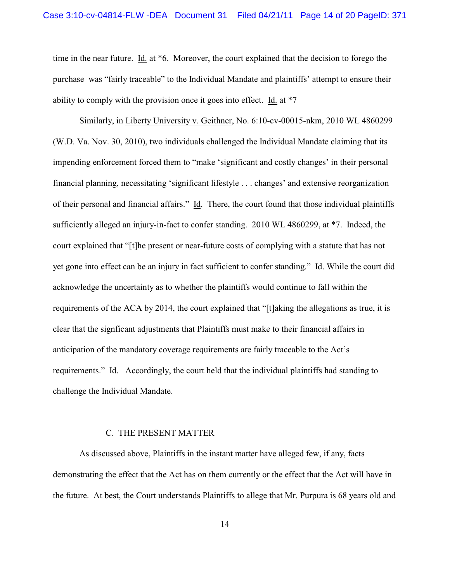time in the near future. Id. at \*6. Moreover, the court explained that the decision to forego the purchase was "fairly traceable" to the Individual Mandate and plaintiffs' attempt to ensure their ability to comply with the provision once it goes into effect. Id. at \*7

Similarly, in Liberty University v. Geithner, No. 6:10-cv-00015-nkm, 2010 WL 4860299 (W.D. Va. Nov. 30, 2010), two individuals challenged the Individual Mandate claiming that its impending enforcement forced them to "make 'significant and costly changes' in their personal financial planning, necessitating 'significant lifestyle . . . changes' and extensive reorganization of their personal and financial affairs." Id. There, the court found that those individual plaintiffs sufficiently alleged an injury-in-fact to confer standing. 2010 WL 4860299, at \*7. Indeed, the court explained that "[t]he present or near-future costs of complying with a statute that has not yet gone into effect can be an injury in fact sufficient to confer standing." Id. While the court did acknowledge the uncertainty as to whether the plaintiffs would continue to fall within the requirements of the ACA by 2014, the court explained that "[t]aking the allegations as true, it is clear that the signficant adjustments that Plaintiffs must make to their financial affairs in anticipation of the mandatory coverage requirements are fairly traceable to the Act's requirements." Id. Accordingly, the court held that the individual plaintiffs had standing to challenge the Individual Mandate.

#### C. THE PRESENT MATTER

As discussed above, Plaintiffs in the instant matter have alleged few, if any, facts demonstrating the effect that the Act has on them currently or the effect that the Act will have in the future. At best, the Court understands Plaintiffs to allege that Mr. Purpura is 68 years old and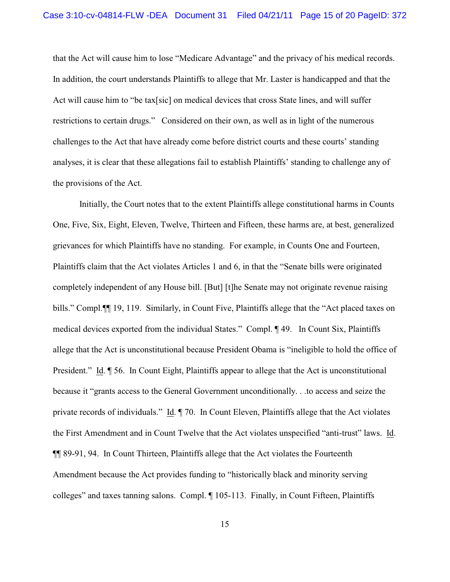that the Act will cause him to lose "Medicare Advantage" and the privacy of his medical records. In addition, the court understands Plaintiffs to allege that Mr. Laster is handicapped and that the Act will cause him to "be tax[sic] on medical devices that cross State lines, and will suffer restrictions to certain drugs." Considered on their own, as well as in light of the numerous challenges to the Act that have already come before district courts and these courts' standing analyses, it is clear that these allegations fail to establish Plaintiffs' standing to challenge any of the provisions of the Act.

Initially, the Court notes that to the extent Plaintiffs allege constitutional harms in Counts One, Five, Six, Eight, Eleven, Twelve, Thirteen and Fifteen, these harms are, at best, generalized grievances for which Plaintiffs have no standing. For example, in Counts One and Fourteen, Plaintiffs claim that the Act violates Articles 1 and 6, in that the "Senate bills were originated completely independent of any House bill. [But] [t]he Senate may not originate revenue raising bills." Compl.¶¶ 19, 119. Similarly, in Count Five, Plaintiffs allege that the "Act placed taxes on medical devices exported from the individual States." Compl. ¶ 49. In Count Six, Plaintiffs allege that the Act is unconstitutional because President Obama is "ineligible to hold the office of President." Id. ¶ 56. In Count Eight, Plaintiffs appear to allege that the Act is unconstitutional because it "grants access to the General Government unconditionally. . .to access and seize the private records of individuals." Id. ¶ 70. In Count Eleven, Plaintiffs allege that the Act violates the First Amendment and in Count Twelve that the Act violates unspecified "anti-trust" laws. Id. ¶¶ 89-91, 94. In Count Thirteen, Plaintiffs allege that the Act violates the Fourteenth Amendment because the Act provides funding to "historically black and minority serving colleges" and taxes tanning salons. Compl. ¶ 105-113. Finally, in Count Fifteen, Plaintiffs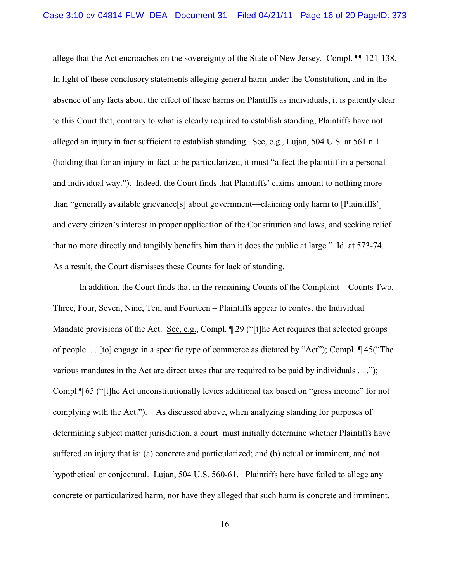allege that the Act encroaches on the sovereignty of the State of New Jersey. Compl. ¶¶ 121-138. In light of these conclusory statements alleging general harm under the Constitution, and in the absence of any facts about the effect of these harms on Plantiffs as individuals, it is patently clear to this Court that, contrary to what is clearly required to establish standing, Plaintiffs have not alleged an injury in fact sufficient to establish standing. See, e.g., Lujan, 504 U.S. at 561 n.1 (holding that for an injury-in-fact to be particularized, it must "affect the plaintiff in a personal and individual way."). Indeed, the Court finds that Plaintiffs' claims amount to nothing more than "generally available grievance[s] about government—claiming only harm to [Plaintiffs'] and every citizen's interest in proper application of the Constitution and laws, and seeking relief that no more directly and tangibly benefits him than it does the public at large " Id. at 573-74. As a result, the Court dismisses these Counts for lack of standing.

 complying with the Act."). As discussed above, when analyzing standing for purposes of In addition, the Court finds that in the remaining Counts of the Complaint – Counts Two, Three, Four, Seven, Nine, Ten, and Fourteen – Plaintiffs appear to contest the Individual Mandate provisions of the Act. See, e.g., Compl. 1 29 ("[t]he Act requires that selected groups of people. . . [to] engage in a specific type of commerce as dictated by "Act"); Compl. ¶ 45("The various mandates in the Act are direct taxes that are required to be paid by individuals . . ."); Compl.¶ 65 ("[t]he Act unconstitutionally levies additional tax based on "gross income" for not determining subject matter jurisdiction, a court must initially determine whether Plaintiffs have suffered an injury that is: (a) concrete and particularized; and (b) actual or imminent, and not hypothetical or conjectural. Lujan, 504 U.S. 560-61. Plaintiffs here have failed to allege any concrete or particularized harm, nor have they alleged that such harm is concrete and imminent.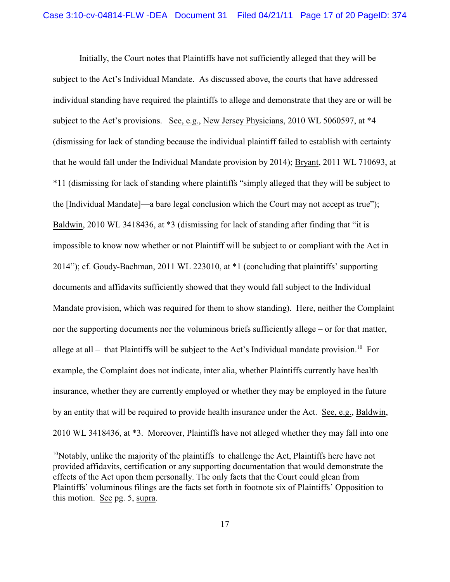Initially, the Court notes that Plaintiffs have not sufficiently alleged that they will be subject to the Act's Individual Mandate. As discussed above, the courts that have addressed individual standing have required the plaintiffs to allege and demonstrate that they are or will be subject to the Act's provisions. See, e.g., New Jersey Physicians, 2010 WL 5060597, at \*4 (dismissing for lack of standing because the individual plaintiff failed to establish with certainty that he would fall under the Individual Mandate provision by 2014); Bryant, 2011 WL 710693, at \*11 (dismissing for lack of standing where plaintiffs "simply alleged that they will be subject to the [Individual Mandate]—a bare legal conclusion which the Court may not accept as true"); Baldwin, 2010 WL 3418436, at  $*3$  (dismissing for lack of standing after finding that "it is impossible to know now whether or not Plaintiff will be subject to or compliant with the Act in 2014"); cf. Goudy-Bachman, 2011 WL 223010, at \*1 (concluding that plaintiffs' supporting documents and affidavits sufficiently showed that they would fall subject to the Individual Mandate provision, which was required for them to show standing). Here, neither the Complaint nor the supporting documents nor the voluminous briefs sufficiently allege – or for that matter, allege at all – that Plaintiffs will be subject to the Act's Individual mandate provision.<sup>10</sup> For example, the Complaint does not indicate, inter alia, whether Plaintiffs currently have health insurance, whether they are currently employed or whether they may be employed in the future by an entity that will be required to provide health insurance under the Act. See, e.g., Baldwin, 2010 WL 3418436, at \*3. Moreover, Plaintiffs have not alleged whether they may fall into one

<sup>&</sup>lt;sup>10</sup> Notably, unlike the majority of the plaintiffs to challenge the Act, Plaintiffs here have not provided affidavits, certification or any supporting documentation that would demonstrate the effects of the Act upon them personally. The only facts that the Court could glean from Plaintiffs' voluminous filings are the facts set forth in footnote six of Plaintiffs' Opposition to this motion. See pg. 5, supra.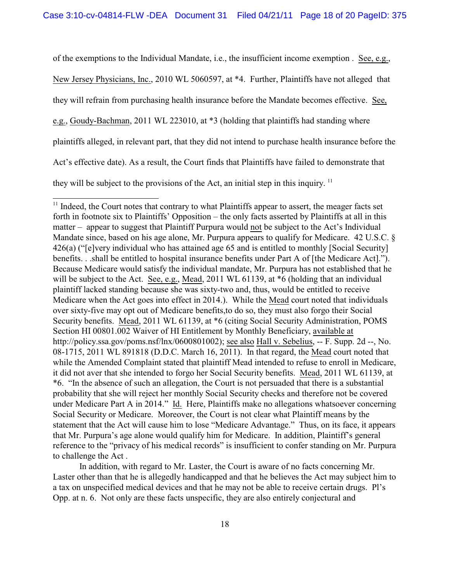of the exemptions to the Individual Mandate, i.e., the insufficient income exemption . See, e.g.,

New Jersey Physicians, Inc., 2010 WL 5060597, at \*4. Further, Plaintiffs have not alleged that

they will refrain from purchasing health insurance before the Mandate becomes effective. See,

e.g., Goudy-Bachman, 2011 WL 223010, at \*3 (holding that plaintiffs had standing where

plaintiffs alleged, in relevant part, that they did not intend to purchase health insurance before the

Act's effective date). As a result, the Court finds that Plaintiffs have failed to demonstrate that

they will be subject to the provisions of the Act, an initial step in this inquiry.  $11$ 

In addition, with regard to Mr. Laster, the Court is aware of no facts concerning Mr. Laster other than that he is allegedly handicapped and that he believes the Act may subject him to a tax on unspecified medical devices and that he may not be able to receive certain drugs. Pl's Opp. at n. 6. Not only are these facts unspecific, they are also entirely conjectural and

 $<sup>11</sup>$  Indeed, the Court notes that contrary to what Plaintiffs appear to assert, the meager facts set</sup> forth in footnote six to Plaintiffs' Opposition – the only facts asserted by Plaintiffs at all in this matter – appear to suggest that Plaintiff Purpura would not be subject to the Act's Individual Mandate since, based on his age alone, Mr. Purpura appears to qualify for Medicare. 42 U.S.C. § 426(a) ("[e]very individual who has attained age 65 and is entitled to monthly [Social Security] benefits. . .shall be entitled to hospital insurance benefits under Part A of [the Medicare Act]."). Because Medicare would satisfy the individual mandate, Mr. Purpura has not established that he will be subject to the Act. See, e.g., Mead, 2011 WL 61139, at  $*6$  (holding that an individual plaintiff lacked standing because she was sixty-two and, thus, would be entitled to receive Medicare when the Act goes into effect in 2014.). While the Mead court noted that individuals over sixty-five may opt out of Medicare benefits,to do so, they must also forgo their Social Security benefits. Mead, 2011 WL 61139, at \*6 (citing Social Security Administration, POMS Section HI 00801.002 Waiver of HI Entitlement by Monthly Beneficiary, available at http://policy.ssa.gov/poms.nsf/lnx/0600801002); see also Hall v. Sebelius, -- F. Supp. 2d --, No. 08-1715, 2011 WL 891818 (D.D.C. March 16, 2011). In that regard, the Mead court noted that while the Amended Complaint stated that plaintiff Mead intended to refuse to enroll in Medicare, it did not aver that she intended to forgo her Social Security benefits. Mead, 2011 WL 61139, at \*6. "In the absence of such an allegation, the Court is not persuaded that there is a substantial probability that she will reject her monthly Social Security checks and therefore not be covered under Medicare Part A in 2014." Id. Here, Plaintiffs make no allegations whatsoever concerning Social Security or Medicare. Moreover, the Court is not clear what Plaintiff means by the statement that the Act will cause him to lose "Medicare Advantage." Thus, on its face, it appears that Mr. Purpura's age alone would qualify him for Medicare. In addition, Plaintiff's general reference to the "privacy of his medical records" is insufficient to confer standing on Mr. Purpura to challenge the Act .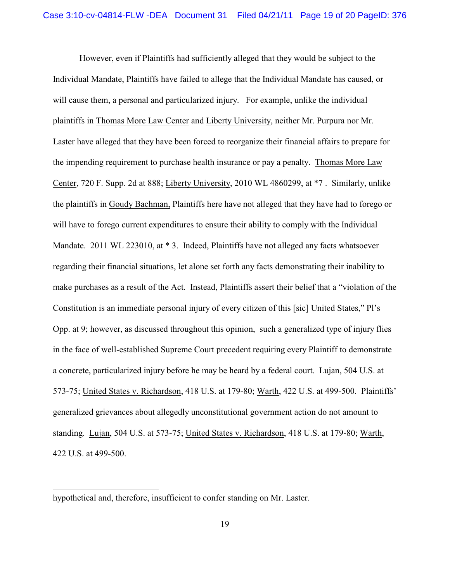However, even if Plaintiffs had sufficiently alleged that they would be subject to the Individual Mandate, Plaintiffs have failed to allege that the Individual Mandate has caused, or will cause them, a personal and particularized injury. For example, unlike the individual plaintiffs in Thomas More Law Center and Liberty University, neither Mr. Purpura nor Mr. Laster have alleged that they have been forced to reorganize their financial affairs to prepare for the impending requirement to purchase health insurance or pay a penalty. Thomas More Law Center, 720 F. Supp. 2d at 888; Liberty University, 2010 WL 4860299, at \*7 . Similarly, unlike the plaintiffs in Goudy Bachman, Plaintiffs here have not alleged that they have had to forego or will have to forego current expenditures to ensure their ability to comply with the Individual Mandate. 2011 WL 223010, at \* 3. Indeed, Plaintiffs have not alleged any facts whatsoever regarding their financial situations, let alone set forth any facts demonstrating their inability to make purchases as a result of the Act. Instead, Plaintiffs assert their belief that a "violation of the Constitution is an immediate personal injury of every citizen of this [sic] United States," Pl's Opp. at 9; however, as discussed throughout this opinion, such a generalized type of injury flies in the face of well-established Supreme Court precedent requiring every Plaintiff to demonstrate a concrete, particularized injury before he may be heard by a federal court. Lujan, 504 U.S. at 573-75; United States v. Richardson, 418 U.S. at 179-80; Warth, 422 U.S. at 499-500. Plaintiffs' generalized grievances about allegedly unconstitutional government action do not amount to standing. Lujan, 504 U.S. at 573-75; United States v. Richardson, 418 U.S. at 179-80; Warth, 422 U.S. at 499-500.

hypothetical and, therefore, insufficient to confer standing on Mr. Laster.